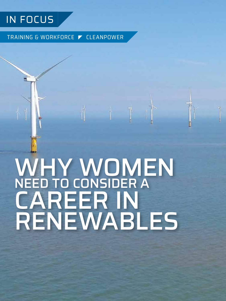## IN FOCUS

TRAINING & WORKFORCE ▼ CLEANPOWER

# WHY WOMEN NEED TO CONSIDER A CAREER IN RENEWABLES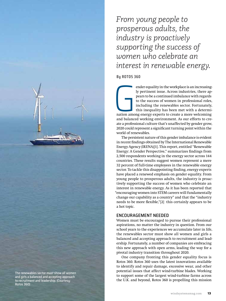*From young people to prosperous adults, the industry is proactively supporting the success of women who celebrate an interest in renewable energy.*

**By ROTOS 360**

and balance ender equality in the workplace is an increasingly pertinent issue. Across industries, there appears to be a continued imbalance with regards to the success of women in professional roles, including the renewables sector. Fortunately, this inequality has been met with a determination among energy experts to create a more welcoming and balanced working environment. As our efforts to create a professional culture that's unaffected by gender grow, 2020 could represent a significant turning point within the world of renewables.

The persistent nature of this gender imbalance is evident in recent findings obtained by The International Renewable Energy Agency (IRENA)[1]. This report, entitled "Renewable Energy: A Gender Perspective," summarizes findings from 2,500 respondents working in the energy sector across 144 countries. These results suggest women represent a mere 32 percent of full-time employees in the renewable energy sector. To tackle this disappointing finding, energy experts have placed a renewed emphasis on gender equality. From young people to prosperous adults, the industry is proactively supporting the success of women who celebrate an interest in renewable energy. As it has been reported that "encouraging women into STEM careers will fundamentally change our capability as a country" and that the "industry needs to be more flexible,"[2] this certainly appears to be a hot topic.

#### ENCOURAGEMENT NEEDED

Women must be encouraged to pursue their professional aspirations, no matter the industry in question. From our school years to the experiences we accumulate later in life, the renewables sector must show all women and girls a balanced and accepting approach to recruitment and leadership. Fortunately, a number of companies are embracing this new approach with open arms, leading the way for a pivotal industry transition throughout 2020.

One company fronting this gender equality focus is Rotos 360. Rotos 360 uses the latest innovations available to identify and repair damage, excessive wear, and other potential issues that affect wind-turbine blades. Working to support some of the largest wind-turbine farms across the U.K. and beyond, Rotos 360 is propelling this mission

The renewables sector must show all women and girls a balanced and accepting approach to recruitment and leadership. (Courtesy: Rotos 360)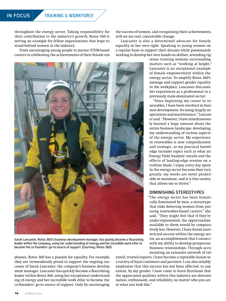throughout the energy sector. Taking responsibility for their contribution to the industry's growth, Rotos 360 is setting an example for fellow organizations that hope to stand behind women in the industry.

From encouraging young people to pursue STEM-based careers to celebrating the achievements of their female em-



Sarah Lancaster, Rotos 360's business development manager, has quickly become a flourishing leader within the company, using her understanding of energy and her incredible work ethic to become the co-founders' go-to source of support. (Courtesy: Rotos 360)

ployees, Rotos 360 has a passion for equality. For example, they are tremendously proud to support the ongoing successes of Sarah Lancaster, the company's business development manager. Lancaster has quickly become a flourishing leader within Rotos 360, using her exceptional understanding of energy and her incredible work ethic to become the co-founders' go-to source of support. Only by encouraging

the success of women, and recognizing their achievements, will we see real, conceivable change.

Lancaster is also a determined advocate for female equality in her own right. Speaking to young women on a regular basis to support their dreams while passionately working to develop her own hands-on skillset, attending rig-

> orous training sessions surrounding matters such as "working at height," Lancaster is an exceptional example of female empowerment within the energy sector. To amplify Rotos 360's message and support gender equality in the workplace, Lancaster discusses her experiences as a professional in a previously male-dominated sector:

> "Since beginning my career in renewables, I have been involved in business development, focusing largely on operations and maintenance," Lancaster said. "However, I have simultaneously learned a huge amount about the entire business landscape, developing my understanding of various aspects of the energy sector. My experience in renewables is now comprehensive and strategic, as my practical knowledge includes topics such as what an 'Energy Yield Analysis' entails and the effects of leading-edge erosion on a turbine blade. I enjoy every day spent in the energy sector because they vary greatly; my weeks are never predictable or mundane, and it is this variety that allows me to thrive."

#### DIMINISHING STEREOTYPES

"The energy sector has been historically dominated by men, a stereotype that risks deterring women from pursuing renewables-based careers," she said. "They might feel that if they're under-represented, the opportunities available to them would be comparatively less. However, I have found unrestricted success within the energy sector, an accomplishment that I connect with my ability to develop prosperous business relationships. Through accumulating an extensive network of tal-

ented, trusted experts, I have become a reputable liaison to a variety of loyal customers and partners. I can also reliably emphasize that this success has not been affected, to any extent, by my gender. I have come to learn first-hand that the appreciated qualities within this industry are determination, enthusiasm, and reliability, no matter who you are or what you look like."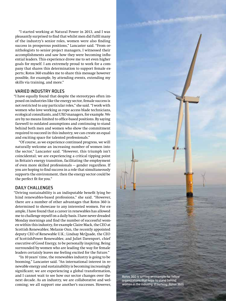"I started working at Natural Power in 2013, and I was pleasantly surprised to find that whilst men did fulfil many of the industry's senior roles, women were also finding success in prosperous positions," Lancaster said. "From ornithologists to senior project managers, I witnessed their accomplishments and saw how they were becoming influential leaders. This experience drove me to set even higher goals for myself. I am extremely proud to work for a company that shares this determination to support female experts; Rotos 360 enables me to share this message however possible, for example, by attending events, extending my skills via training, and more."

#### VARIED INDUSTRY ROLES

"I have equally found that despite the stereotypes often imposed on industries like the energy sector, female success is not restricted to any particular roles," she said. "I work with women who love working as rope access blade technicians, ecological consultants, and UXO managers, for example. We are by no means limited to office-based positions. By saying farewell to outdated assumptions and continuing to stand behind both men and women who show the commitment required to succeed in this industry, we can create an equal and exciting space for talented professionals."

"Of course, as we experience continued progress, we will naturally welcome an increasing number of women into the sector," Lancaster said. "However, this triumph isn't coincidental; we are experiencing a critical tipping point in Britain's energy transition, facilitating the employment of even more skilled professionals — gender regardless. If you are hoping to find success in a role that simultaneously supports the environment, then the energy sector could be the perfect fit for you."

#### DAILY CHALLENGES

"Driving sustainability is an indisputable benefit lying behind renewables-based professions," she said. "However, there are a number of other advantages that Rotos 360 is determined to showcase to any interested women. For example, I have found that a career in renewables has allowed me to challenge myself on a daily basis. I have never dreaded Monday mornings and find the number of successful women within this industry, for example Claire Mack, the CEO at Scottish Renewables; Melanie Onn, the recently appointed deputy CEO of Renewable U.K.; Lindsay McQuade, the CEO of ScottishPower Renewables; and Juliet Davenport, chief executive of Good Energy, to be personally inspiring. Being surrounded by women who are leading the way for female leaders certainly leaves me feeling excited for the future."

"In 10 years' time, the renewables industry is going to be booming," Lancaster said. "An international interest in renewable energy and sustainability is becoming increasingly significant; we are experiencing a global transformation, and I cannot wait to see how our sector changes over the next decade. As an industry, we are collaborative and welcoming; we all support one another's successes. However,



windsystemsmag.com **15**